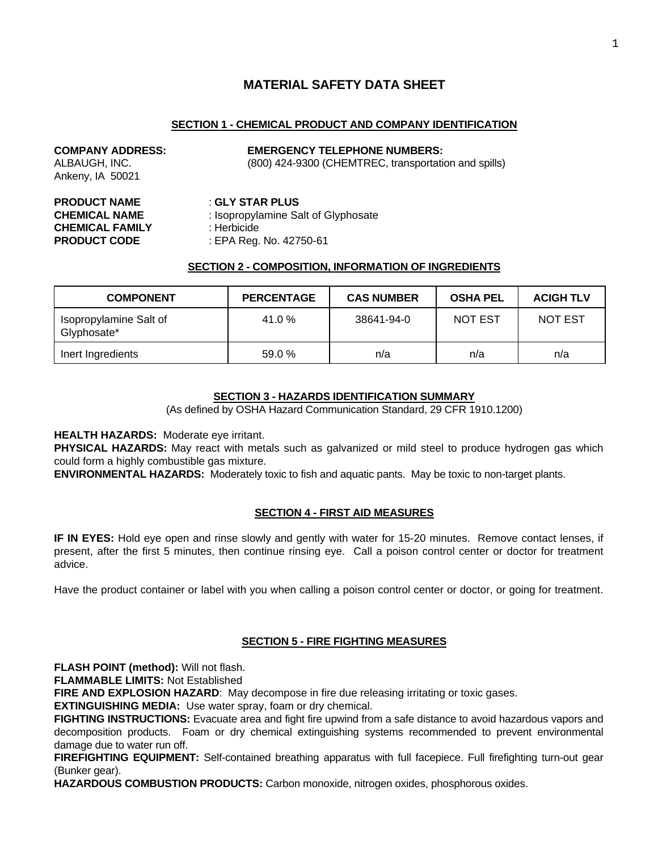# **MATERIAL SAFETY DATA SHEET**

# **SECTION 1 - CHEMICAL PRODUCT AND COMPANY IDENTIFICATION**

# **COMPANY ADDRESS: EMERGENCY TELEPHONE NUMBERS:**

ALBAUGH, INC. (800) 424-9300 (CHEMTREC, transportation and spills)

**PRODUCT NAME** : **GLY STAR PLUS CHEMICAL FAMILY** : Herbicide

Ankeny, IA 50021

**CHEMICAL NAME** : Isopropylamine Salt of Glyphosate **PRODUCT CODE** : EPA Reg. No. 42750-61

#### **SECTION 2 - COMPOSITION, INFORMATION OF INGREDIENTS**

| <b>COMPONENT</b>                      | <b>PERCENTAGE</b> | <b>CAS NUMBER</b> | <b>OSHA PEL</b> | <b>ACIGH TLV</b> |
|---------------------------------------|-------------------|-------------------|-----------------|------------------|
| Isopropylamine Salt of<br>Glyphosate* | 41.0%             | 38641-94-0        | <b>NOT EST</b>  | <b>NOT EST</b>   |
| Inert Ingredients                     | 59.0 %            | n/a               | n/a             | n/a              |

# **SECTION 3 - HAZARDS IDENTIFICATION SUMMARY**

(As defined by OSHA Hazard Communication Standard, 29 CFR 1910.1200)

**HEALTH HAZARDS:** Moderate eye irritant.

**PHYSICAL HAZARDS:** May react with metals such as galvanized or mild steel to produce hydrogen gas which could form a highly combustible gas mixture.

**ENVIRONMENTAL HAZARDS:** Moderately toxic to fish and aquatic pants. May be toxic to non-target plants.

# **SECTION 4 - FIRST AID MEASURES**

**IF IN EYES:** Hold eye open and rinse slowly and gently with water for 15-20 minutes. Remove contact lenses, if present, after the first 5 minutes, then continue rinsing eye. Call a poison control center or doctor for treatment advice.

Have the product container or label with you when calling a poison control center or doctor, or going for treatment.

# **SECTION 5 - FIRE FIGHTING MEASURES**

**FLASH POINT (method):** Will not flash.

**FLAMMABLE LIMITS:** Not Established

**FIRE AND EXPLOSION HAZARD:** May decompose in fire due releasing irritating or toxic gases.

**EXTINGUISHING MEDIA:** Use water spray, foam or dry chemical.

**FIGHTING INSTRUCTIONS:** Evacuate area and fight fire upwind from a safe distance to avoid hazardous vapors and decomposition products. Foam or dry chemical extinguishing systems recommended to prevent environmental damage due to water run off.

**FIREFIGHTING EQUIPMENT:** Self-contained breathing apparatus with full facepiece. Full firefighting turn-out gear (Bunker gear).

**HAZARDOUS COMBUSTION PRODUCTS:** Carbon monoxide, nitrogen oxides, phosphorous oxides.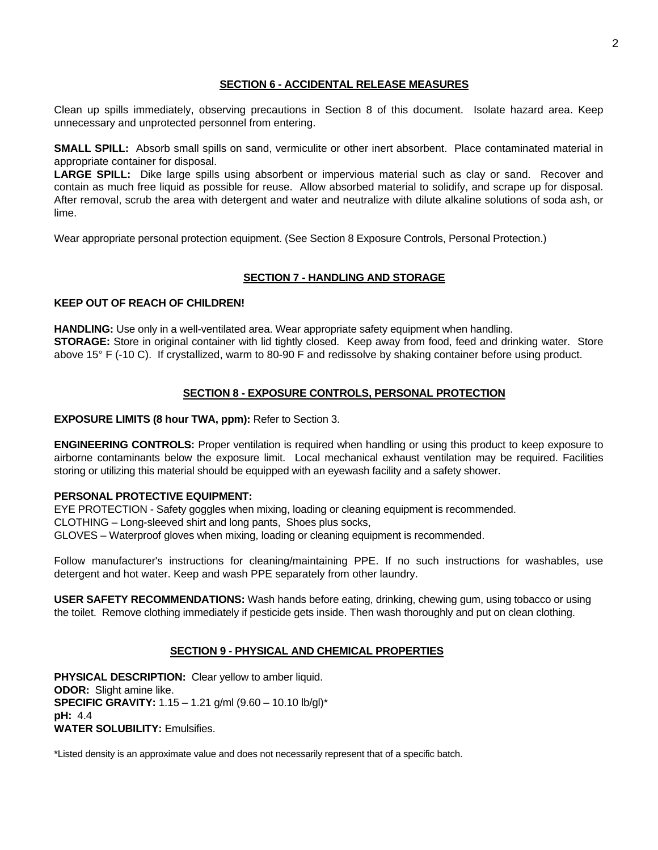#### **SECTION 6 - ACCIDENTAL RELEASE MEASURES**

Clean up spills immediately, observing precautions in Section 8 of this document. Isolate hazard area. Keep unnecessary and unprotected personnel from entering.

**SMALL SPILL:** Absorb small spills on sand, vermiculite or other inert absorbent. Place contaminated material in appropriate container for disposal.

**LARGE SPILL:** Dike large spills using absorbent or impervious material such as clay or sand. Recover and contain as much free liquid as possible for reuse. Allow absorbed material to solidify, and scrape up for disposal. After removal, scrub the area with detergent and water and neutralize with dilute alkaline solutions of soda ash, or lime.

Wear appropriate personal protection equipment. (See Section 8 Exposure Controls, Personal Protection.)

# **SECTION 7 - HANDLING AND STORAGE**

#### **KEEP OUT OF REACH OF CHILDREN!**

**HANDLING:** Use only in a well-ventilated area. Wear appropriate safety equipment when handling. **STORAGE:** Store in original container with lid tightly closed. Keep away from food, feed and drinking water. Store above 15° F (-10 C). If crystallized, warm to 80-90 F and redissolve by shaking container before using product.

# **SECTION 8 - EXPOSURE CONTROLS, PERSONAL PROTECTION**

**EXPOSURE LIMITS (8 hour TWA, ppm):** Refer to Section 3.

**ENGINEERING CONTROLS:** Proper ventilation is required when handling or using this product to keep exposure to airborne contaminants below the exposure limit. Local mechanical exhaust ventilation may be required. Facilities storing or utilizing this material should be equipped with an eyewash facility and a safety shower.

# **PERSONAL PROTECTIVE EQUIPMENT:**

EYE PROTECTION - Safety goggles when mixing, loading or cleaning equipment is recommended. CLOTHING – Long-sleeved shirt and long pants, Shoes plus socks, GLOVES – Waterproof gloves when mixing, loading or cleaning equipment is recommended.

Follow manufacturer's instructions for cleaning/maintaining PPE. If no such instructions for washables, use detergent and hot water. Keep and wash PPE separately from other laundry.

**USER SAFETY RECOMMENDATIONS:** Wash hands before eating, drinking, chewing gum, using tobacco or using the toilet. Remove clothing immediately if pesticide gets inside. Then wash thoroughly and put on clean clothing.

# **SECTION 9 - PHYSICAL AND CHEMICAL PROPERTIES**

**PHYSICAL DESCRIPTION:** Clear yellow to amber liquid. **ODOR:** Slight amine like. **SPECIFIC GRAVITY:** 1.15 – 1.21 g/ml (9.60 – 10.10 lb/gl)\* **pH:** 4.4 **WATER SOLUBILITY:** Emulsifies.

\*Listed density is an approximate value and does not necessarily represent that of a specific batch.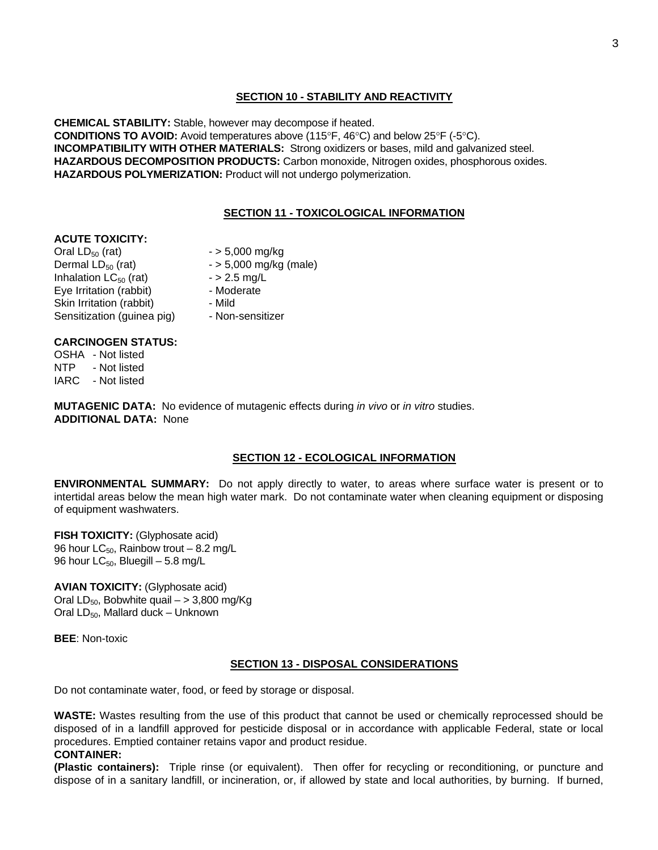#### **SECTION 10 - STABILITY AND REACTIVITY**

**CHEMICAL STABILITY:** Stable, however may decompose if heated. **CONDITIONS TO AVOID:** Avoid temperatures above (115°F, 46°C) and below 25°F (-5°C). **INCOMPATIBILITY WITH OTHER MATERIALS:** Strong oxidizers or bases, mild and galvanized steel. **HAZARDOUS DECOMPOSITION PRODUCTS:** Carbon monoxide, Nitrogen oxides, phosphorous oxides. **HAZARDOUS POLYMERIZATION:** Product will not undergo polymerization.

#### **SECTION 11 - TOXICOLOGICAL INFORMATION**

#### **ACUTE TOXICITY:**

Oral  $LD_{50}$  (rat)  $-$  > 5,000 mg/kg<br>Dermal  $LD_{50}$  (rat)  $-$  > 5,000 mg/kg Inhalation  $LC_{50}$  (rat)  $-$  > 2.5 mg/l<br>Eve Irritation (rabbit) - Moderate Eye Irritation (rabbit) Skin Irritation (rabbit) - Mild Sensitization (quinea pig) - Non-sensitizer

 $-$  > 5,000 mg/kg (male)<br> $-$  > 2.5 mg/L

- -

#### **CARCINOGEN STATUS:**

OSHA - Not listed NTP - Not listed IARC - Not listed

**MUTAGENIC DATA:** No evidence of mutagenic effects during *in vivo* or *in vitro* studies. **ADDITIONAL DATA:** None

# **SECTION 12 - ECOLOGICAL INFORMATION**

**ENVIRONMENTAL SUMMARY:** Do not apply directly to water, to areas where surface water is present or to intertidal areas below the mean high water mark. Do not contaminate water when cleaning equipment or disposing of equipment washwaters.

**FISH TOXICITY:** (Glyphosate acid) 96 hour  $LC_{50}$ , Rainbow trout – 8.2 mg/L 96 hour  $LC_{50}$ , Bluegill – 5.8 mg/L

**AVIAN TOXICITY:** (Glyphosate acid) Oral  $LD_{50}$ , Bobwhite quail – > 3,800 mg/Kg Oral  $LD_{50}$ , Mallard duck – Unknown

**BEE**: Non-toxic

# **SECTION 13 - DISPOSAL CONSIDERATIONS**

Do not contaminate water, food, or feed by storage or disposal.

**WASTE:** Wastes resulting from the use of this product that cannot be used or chemically reprocessed should be disposed of in a landfill approved for pesticide disposal or in accordance with applicable Federal, state or local procedures. Emptied container retains vapor and product residue.

#### **CONTAINER:**

**(Plastic containers):** Triple rinse (or equivalent). Then offer for recycling or reconditioning, or puncture and dispose of in a sanitary landfill, or incineration, or, if allowed by state and local authorities, by burning. If burned,